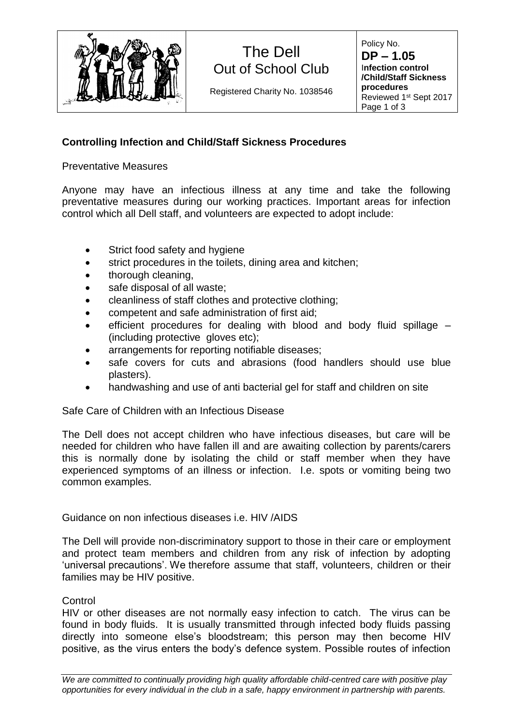

# The Dell Out of School Club

Registered Charity No. 1038546

Policy No. **DP – 1.05** I**nfection control /Child/Staff Sickness procedures** Reviewed 1st Sept 2017 Page 1 of 3

# **Controlling Infection and Child/Staff Sickness Procedures**

### Preventative Measures

Anyone may have an infectious illness at any time and take the following preventative measures during our working practices. Important areas for infection control which all Dell staff, and volunteers are expected to adopt include:

- Strict food safety and hygiene
- strict procedures in the toilets, dining area and kitchen;
- thorough cleaning,
- safe disposal of all waste:
- cleanliness of staff clothes and protective clothing;
- competent and safe administration of first aid;
- efficient procedures for dealing with blood and body fluid spillage (including protective gloves etc);
- arrangements for reporting notifiable diseases;
- safe covers for cuts and abrasions (food handlers should use blue plasters).
- handwashing and use of anti bacterial gel for staff and children on site

Safe Care of Children with an Infectious Disease

The Dell does not accept children who have infectious diseases, but care will be needed for children who have fallen ill and are awaiting collection by parents/carers this is normally done by isolating the child or staff member when they have experienced symptoms of an illness or infection. I.e. spots or vomiting being two common examples.

Guidance on non infectious diseases i.e. HIV /AIDS

The Dell will provide non-discriminatory support to those in their care or employment and protect team members and children from any risk of infection by adopting 'universal precautions'. We therefore assume that staff, volunteers, children or their families may be HIV positive.

#### **Control**

HIV or other diseases are not normally easy infection to catch. The virus can be found in body fluids. It is usually transmitted through infected body fluids passing directly into someone else's bloodstream; this person may then become HIV positive, as the virus enters the body's defence system. Possible routes of infection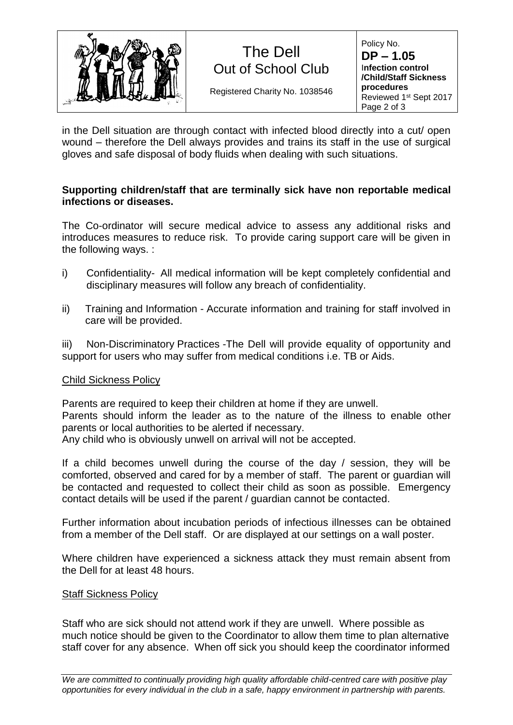| 涵 | The Dell<br>Out of School Club<br>Registered Charity No. 1038546 | Policy No.<br>$DP - 1.05$<br>Infection control<br>/Child/Staff Sickness<br>procedures<br>Reviewed 1 <sup>st</sup> Sept 2017<br>Page 2 of 3 |
|---|------------------------------------------------------------------|--------------------------------------------------------------------------------------------------------------------------------------------|
|---|------------------------------------------------------------------|--------------------------------------------------------------------------------------------------------------------------------------------|

in the Dell situation are through contact with infected blood directly into a cut/ open wound – therefore the Dell always provides and trains its staff in the use of surgical gloves and safe disposal of body fluids when dealing with such situations.

#### **Supporting children/staff that are terminally sick have non reportable medical infections or diseases.**

The Co-ordinator will secure medical advice to assess any additional risks and introduces measures to reduce risk. To provide caring support care will be given in the following ways. :

- i) Confidentiality- All medical information will be kept completely confidential and disciplinary measures will follow any breach of confidentiality.
- ii) Training and Information Accurate information and training for staff involved in care will be provided.

iii) Non-Discriminatory Practices -The Dell will provide equality of opportunity and support for users who may suffer from medical conditions i.e. TB or Aids.

#### Child Sickness Policy

Parents are required to keep their children at home if they are unwell. Parents should inform the leader as to the nature of the illness to enable other parents or local authorities to be alerted if necessary. Any child who is obviously unwell on arrival will not be accepted.

If a child becomes unwell during the course of the day / session, they will be comforted, observed and cared for by a member of staff. The parent or guardian will be contacted and requested to collect their child as soon as possible. Emergency contact details will be used if the parent / guardian cannot be contacted.

Further information about incubation periods of infectious illnesses can be obtained from a member of the Dell staff. Or are displayed at our settings on a wall poster.

Where children have experienced a sickness attack they must remain absent from the Dell for at least 48 hours.

#### **Staff Sickness Policy**

Staff who are sick should not attend work if they are unwell. Where possible as much notice should be given to the Coordinator to allow them time to plan alternative staff cover for any absence. When off sick you should keep the coordinator informed